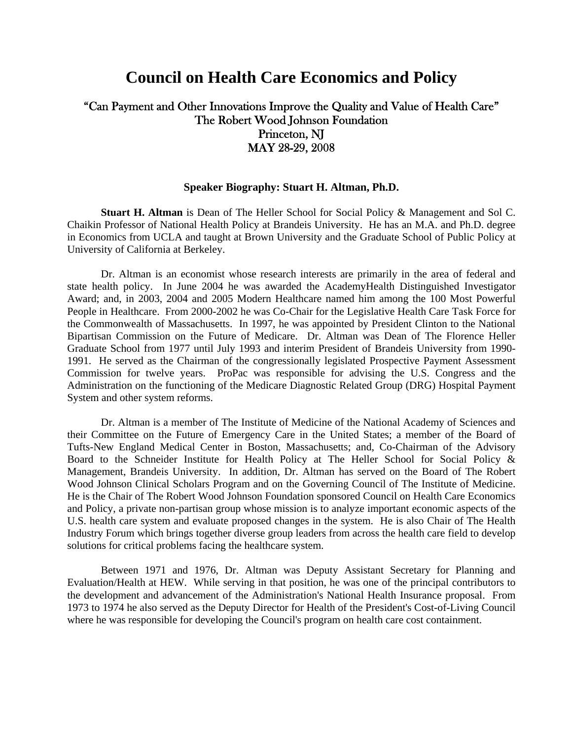## "Can Payment and Other Innovations Improve the Quality and Value of Health Care" The Robert Wood Johnson Foundation Princeton, NJ MAY 28-29, 2008

#### **Speaker Biography: Stuart H. Altman, Ph.D.**

**Stuart H. Altman** is Dean of The Heller School for Social Policy & Management and Sol C. Chaikin Professor of National Health Policy at Brandeis University. He has an M.A. and Ph.D. degree in Economics from UCLA and taught at Brown University and the Graduate School of Public Policy at University of California at Berkeley.

Dr. Altman is an economist whose research interests are primarily in the area of federal and state health policy. In June 2004 he was awarded the AcademyHealth Distinguished Investigator Award; and, in 2003, 2004 and 2005 Modern Healthcare named him among the 100 Most Powerful People in Healthcare. From 2000-2002 he was Co-Chair for the Legislative Health Care Task Force for the Commonwealth of Massachusetts. In 1997, he was appointed by President Clinton to the National Bipartisan Commission on the Future of Medicare. Dr. Altman was Dean of The Florence Heller Graduate School from 1977 until July 1993 and interim President of Brandeis University from 1990- 1991. He served as the Chairman of the congressionally legislated Prospective Payment Assessment Commission for twelve years. ProPac was responsible for advising the U.S. Congress and the Administration on the functioning of the Medicare Diagnostic Related Group (DRG) Hospital Payment System and other system reforms.

Dr. Altman is a member of The Institute of Medicine of the National Academy of Sciences and their Committee on the Future of Emergency Care in the United States; a member of the Board of Tufts-New England Medical Center in Boston, Massachusetts; and, Co-Chairman of the Advisory Board to the Schneider Institute for Health Policy at The Heller School for Social Policy & Management, Brandeis University. In addition, Dr. Altman has served on the Board of The Robert Wood Johnson Clinical Scholars Program and on the Governing Council of The Institute of Medicine. He is the Chair of The Robert Wood Johnson Foundation sponsored Council on Health Care Economics and Policy, a private non-partisan group whose mission is to analyze important economic aspects of the U.S. health care system and evaluate proposed changes in the system.He is also Chair of The Health Industry Forum which brings together diverse group leaders from across the health care field to develop solutions for critical problems facing the healthcare system.

Between 1971 and 1976, Dr. Altman was Deputy Assistant Secretary for Planning and Evaluation/Health at HEW. While serving in that position, he was one of the principal contributors to the development and advancement of the Administration's National Health Insurance proposal. From 1973 to 1974 he also served as the Deputy Director for Health of the President's Cost-of-Living Council where he was responsible for developing the Council's program on health care cost containment.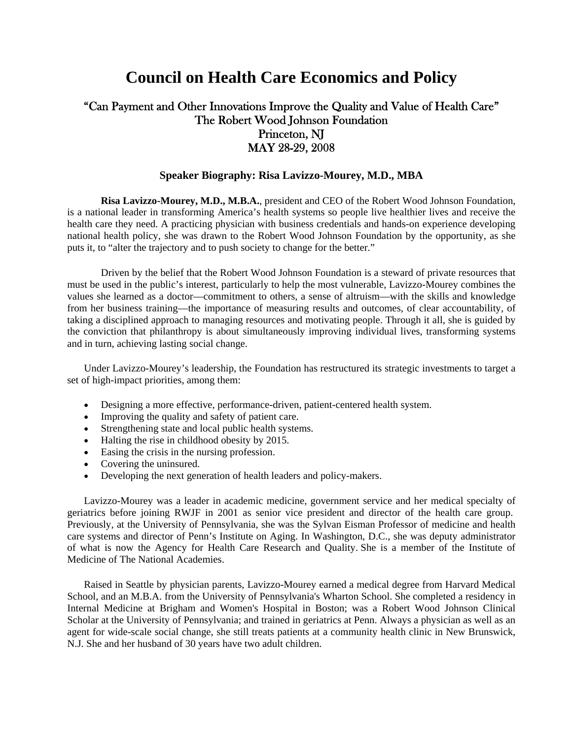## "Can Payment and Other Innovations Improve the Quality and Value of Health Care" The Robert Wood Johnson Foundation Princeton, NJ MAY 28-29, 2008

#### **Speaker Biography: Risa Lavizzo-Mourey, M.D., MBA**

**Risa Lavizzo-Mourey, M.D., M.B.A.**, president and CEO of the Robert Wood Johnson Foundation, is a national leader in transforming America's health systems so people live healthier lives and receive the health care they need. A practicing physician with business credentials and hands-on experience developing national health policy, she was drawn to the Robert Wood Johnson Foundation by the opportunity, as she puts it, to "alter the trajectory and to push society to change for the better."

Driven by the belief that the Robert Wood Johnson Foundation is a steward of private resources that must be used in the public's interest, particularly to help the most vulnerable, Lavizzo-Mourey combines the values she learned as a doctor—commitment to others, a sense of altruism—with the skills and knowledge from her business training—the importance of measuring results and outcomes, of clear accountability, of taking a disciplined approach to managing resources and motivating people. Through it all, she is guided by the conviction that philanthropy is about simultaneously improving individual lives, transforming systems and in turn, achieving lasting social change.

Under Lavizzo-Mourey's leadership, the Foundation has restructured its strategic investments to target a set of high-impact priorities, among them:

- Designing a more effective, performance-driven, patient-centered health system.
- Improving the quality and safety of patient care.
- Strengthening state and local public health systems.
- Halting the rise in childhood obesity by 2015.
- Easing the crisis in the nursing profession.
- Covering the uninsured.
- Developing the next generation of health leaders and policy-makers.

Lavizzo-Mourey was a leader in academic medicine, government service and her medical specialty of geriatrics before joining RWJF in 2001 as senior vice president and director of the health care group. Previously, at the University of Pennsylvania, she was the Sylvan Eisman Professor of medicine and health care systems and director of Penn's Institute on Aging. In Washington, D.C., she was deputy administrator of what is now the Agency for Health Care Research and Quality. She is a member of the Institute of Medicine of The National Academies.

Raised in Seattle by physician parents, Lavizzo-Mourey earned a medical degree from Harvard Medical School, and an M.B.A. from the University of Pennsylvania's Wharton School. She completed a residency in Internal Medicine at Brigham and Women's Hospital in Boston; was a Robert Wood Johnson Clinical Scholar at the University of Pennsylvania; and trained in geriatrics at Penn. Always a physician as well as an agent for wide-scale social change, she still treats patients at a community health clinic in New Brunswick, N.J. She and her husband of 30 years have two adult children.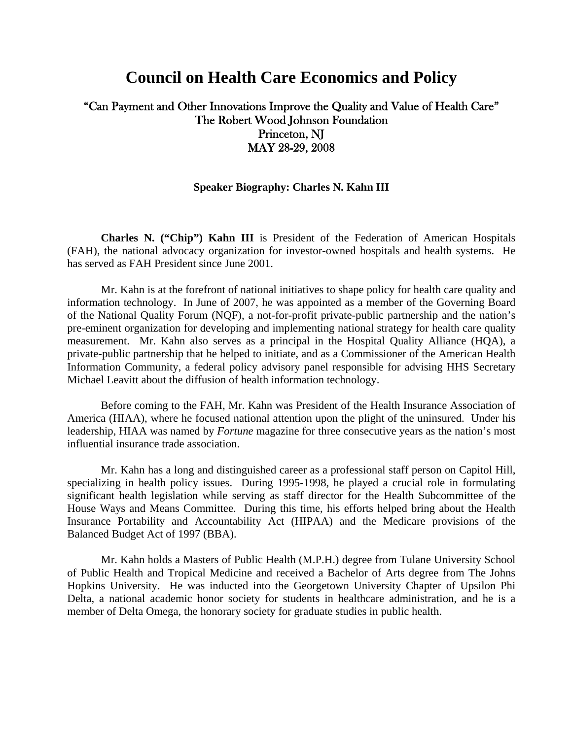## "Can Payment and Other Innovations Improve the Quality and Value of Health Care" The Robert Wood Johnson Foundation Princeton, NJ MAY 28-29, 2008

#### **Speaker Biography: Charles N. Kahn III**

**Charles N. ("Chip") Kahn III** is President of the Federation of American Hospitals (FAH), the national advocacy organization for investor-owned hospitals and health systems. He has served as FAH President since June 2001.

Mr. Kahn is at the forefront of national initiatives to shape policy for health care quality and information technology. In June of 2007, he was appointed as a member of the Governing Board of the National Quality Forum (NQF), a not-for-profit private-public partnership and the nation's pre-eminent organization for developing and implementing national strategy for health care quality measurement. Mr. Kahn also serves as a principal in the Hospital Quality Alliance (HQA), a private-public partnership that he helped to initiate, and as a Commissioner of the American Health Information Community, a federal policy advisory panel responsible for advising HHS Secretary Michael Leavitt about the diffusion of health information technology.

Before coming to the FAH, Mr. Kahn was President of the Health Insurance Association of America (HIAA), where he focused national attention upon the plight of the uninsured. Under his leadership, HIAA was named by *Fortune* magazine for three consecutive years as the nation's most influential insurance trade association.

Mr. Kahn has a long and distinguished career as a professional staff person on Capitol Hill, specializing in health policy issues. During 1995-1998, he played a crucial role in formulating significant health legislation while serving as staff director for the Health Subcommittee of the House Ways and Means Committee. During this time, his efforts helped bring about the Health Insurance Portability and Accountability Act (HIPAA) and the Medicare provisions of the Balanced Budget Act of 1997 (BBA).

Mr. Kahn holds a Masters of Public Health (M.P.H.) degree from Tulane University School of Public Health and Tropical Medicine and received a Bachelor of Arts degree from The Johns Hopkins University. He was inducted into the Georgetown University Chapter of Upsilon Phi Delta, a national academic honor society for students in healthcare administration, and he is a member of Delta Omega, the honorary society for graduate studies in public health.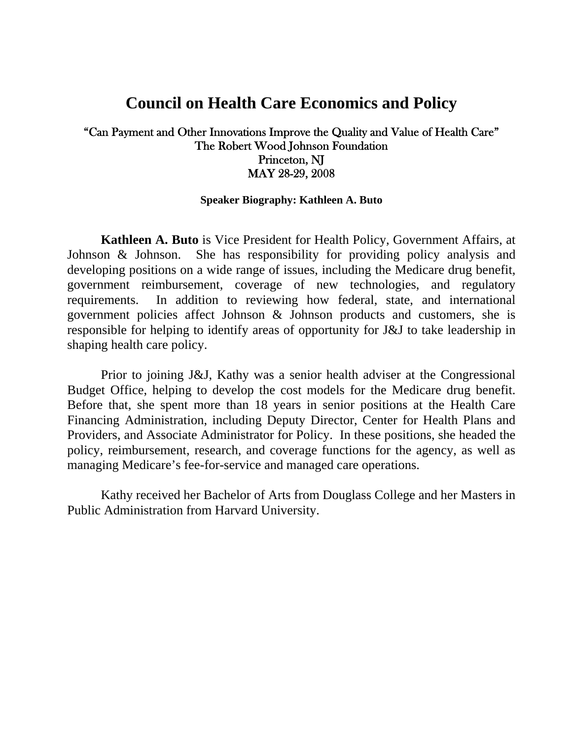## "Can Payment and Other Innovations Improve the Quality and Value of Health Care" The Robert Wood Johnson Foundation Princeton, NJ MAY 28-29, 2008

#### **Speaker Biography: Kathleen A. Buto**

**Kathleen A. Buto** is Vice President for Health Policy, Government Affairs, at Johnson & Johnson. She has responsibility for providing policy analysis and developing positions on a wide range of issues, including the Medicare drug benefit, government reimbursement, coverage of new technologies, and regulatory requirements. In addition to reviewing how federal, state, and international government policies affect Johnson & Johnson products and customers, she is responsible for helping to identify areas of opportunity for J&J to take leadership in shaping health care policy.

Prior to joining J&J, Kathy was a senior health adviser at the Congressional Budget Office, helping to develop the cost models for the Medicare drug benefit. Before that, she spent more than 18 years in senior positions at the Health Care Financing Administration, including Deputy Director, Center for Health Plans and Providers, and Associate Administrator for Policy. In these positions, she headed the policy, reimbursement, research, and coverage functions for the agency, as well as managing Medicare's fee-for-service and managed care operations.

Kathy received her Bachelor of Arts from Douglass College and her Masters in Public Administration from Harvard University.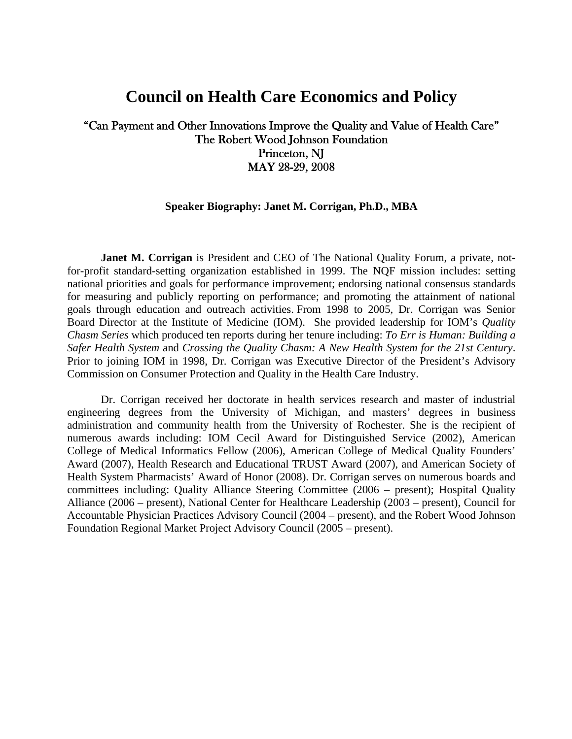"Can Payment and Other Innovations Improve the Quality and Value of Health Care" The Robert Wood Johnson Foundation Princeton, NJ MAY 28-29, 2008

#### **Speaker Biography: Janet M. Corrigan, Ph.D., MBA**

**Janet M. Corrigan** is President and CEO of The National Quality Forum, a private, notfor-profit standard-setting organization established in 1999. The NQF mission includes: setting national priorities and goals for performance improvement; endorsing national consensus standards for measuring and publicly reporting on performance; and promoting the attainment of national goals through education and outreach activities. From 1998 to 2005, Dr. Corrigan was Senior Board Director at the Institute of Medicine (IOM). She provided leadership for IOM's *Quality Chasm Series* which produced ten reports during her tenure including: *To Err is Human: Building a Safer Health System* and *Crossing the Quality Chasm: A New Health System for the 21st Century*. Prior to joining IOM in 1998, Dr. Corrigan was Executive Director of the President's Advisory Commission on Consumer Protection and Quality in the Health Care Industry.

Dr. Corrigan received her doctorate in health services research and master of industrial engineering degrees from the University of Michigan, and masters' degrees in business administration and community health from the University of Rochester. She is the recipient of numerous awards including: IOM Cecil Award for Distinguished Service (2002), American College of Medical Informatics Fellow (2006), American College of Medical Quality Founders' Award (2007), Health Research and Educational TRUST Award (2007), and American Society of Health System Pharmacists' Award of Honor (2008). Dr. Corrigan serves on numerous boards and committees including: Quality Alliance Steering Committee (2006 – present); Hospital Quality Alliance (2006 – present), National Center for Healthcare Leadership (2003 – present), Council for Accountable Physician Practices Advisory Council (2004 – present), and the Robert Wood Johnson Foundation Regional Market Project Advisory Council (2005 – present).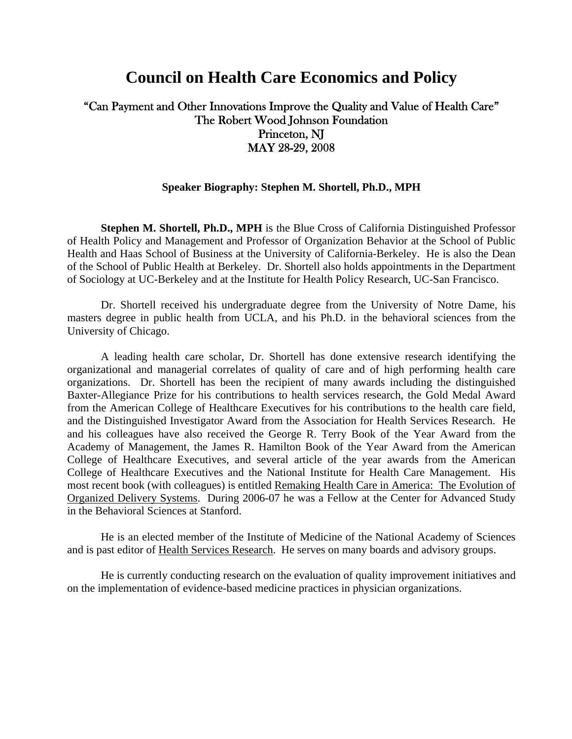## "Can Payment and Other Innovations Improve the Quality and Value of Health Care" The Robert Wood Johnson Foundation Princeton, NJ MAY 28-29, 2008

#### **Speaker Biography: Stephen M. Shortell, Ph.D., MPH**

**Stephen M. Shortell, Ph.D., MPH** is the Blue Cross of California Distinguished Professor of Health Policy and Management and Professor of Organization Behavior at the School of Public Health and Haas School of Business at the University of California-Berkeley. He is also the Dean of the School of Public Health at Berkeley. Dr. Shortell also holds appointments in the Department of Sociology at UC-Berkeley and at the Institute for Health Policy Research, UC-San Francisco.

Dr. Shortell received his undergraduate degree from the University of Notre Dame, his masters degree in public health from UCLA, and his Ph.D. in the behavioral sciences from the University of Chicago.

A leading health care scholar, Dr. Shortell has done extensive research identifying the organizational and managerial correlates of quality of care and of high performing health care organizations. Dr. Shortell has been the recipient of many awards including the distinguished Baxter-Allegiance Prize for his contributions to health services research, the Gold Medal Award from the American College of Healthcare Executives for his contributions to the health care field, and the Distinguished Investigator Award from the Association for Health Services Research. He and his colleagues have also received the George R. Terry Book of the Year Award from the Academy of Management, the James R. Hamilton Book of the Year Award from the American College of Healthcare Executives, and several article of the year awards from the American College of Healthcare Executives and the National Institute for Health Care Management. His most recent book (with colleagues) is entitled Remaking Health Care in America: The Evolution of Organized Delivery Systems. During 2006-07 he was a Fellow at the Center for Advanced Study in the Behavioral Sciences at Stanford.

He is an elected member of the Institute of Medicine of the National Academy of Sciences and is past editor of Health Services Research. He serves on many boards and advisory groups.

He is currently conducting research on the evaluation of quality improvement initiatives and on the implementation of evidence-based medicine practices in physician organizations.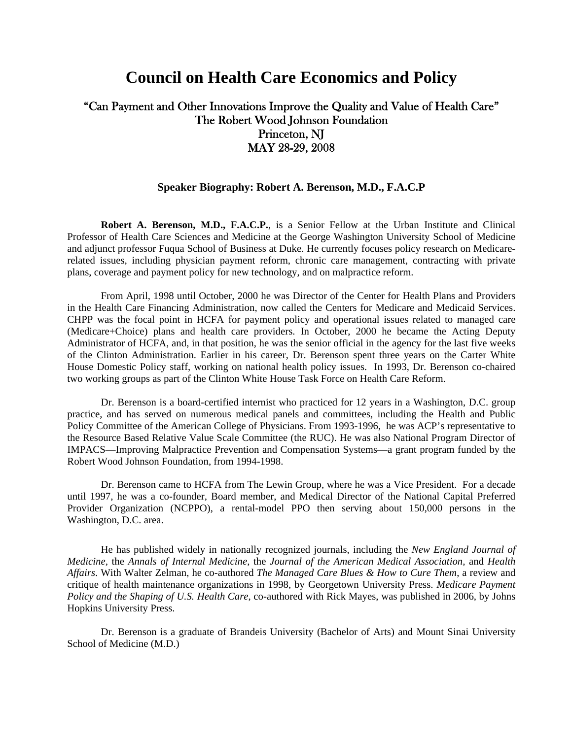## "Can Payment and Other Innovations Improve the Quality and Value of Health Care" The Robert Wood Johnson Foundation Princeton, NJ MAY 28-29, 2008

#### **Speaker Biography: Robert A. Berenson, M.D., F.A.C.P**

**Robert A. Berenson, M.D., F.A.C.P.**, is a Senior Fellow at the Urban Institute and Clinical Professor of Health Care Sciences and Medicine at the George Washington University School of Medicine and adjunct professor Fuqua School of Business at Duke. He currently focuses policy research on Medicarerelated issues, including physician payment reform, chronic care management, contracting with private plans, coverage and payment policy for new technology, and on malpractice reform.

From April, 1998 until October, 2000 he was Director of the Center for Health Plans and Providers in the Health Care Financing Administration, now called the Centers for Medicare and Medicaid Services. CHPP was the focal point in HCFA for payment policy and operational issues related to managed care (Medicare+Choice) plans and health care providers. In October, 2000 he became the Acting Deputy Administrator of HCFA, and, in that position, he was the senior official in the agency for the last five weeks of the Clinton Administration. Earlier in his career, Dr. Berenson spent three years on the Carter White House Domestic Policy staff, working on national health policy issues. In 1993, Dr. Berenson co-chaired two working groups as part of the Clinton White House Task Force on Health Care Reform.

Dr. Berenson is a board-certified internist who practiced for 12 years in a Washington, D.C. group practice, and has served on numerous medical panels and committees, including the Health and Public Policy Committee of the American College of Physicians. From 1993-1996, he was ACP's representative to the Resource Based Relative Value Scale Committee (the RUC). He was also National Program Director of IMPACS—Improving Malpractice Prevention and Compensation Systems—a grant program funded by the Robert Wood Johnson Foundation, from 1994-1998.

Dr. Berenson came to HCFA from The Lewin Group, where he was a Vice President. For a decade until 1997, he was a co-founder, Board member, and Medical Director of the National Capital Preferred Provider Organization (NCPPO), a rental-model PPO then serving about 150,000 persons in the Washington, D.C. area.

He has published widely in nationally recognized journals, including the *New England Journal of Medicine,* the *Annals of Internal Medicine,* the *Journal of the American Medical Association,* and *Health Affairs*. With Walter Zelman, he co-authored *The Managed Care Blues & How to Cure Them*, a review and critique of health maintenance organizations in 1998, by Georgetown University Press. *Medicare Payment Policy and the Shaping of U.S. Health Care*, co-authored with Rick Mayes, was published in 2006, by Johns Hopkins University Press.

Dr. Berenson is a graduate of Brandeis University (Bachelor of Arts) and Mount Sinai University School of Medicine (M.D.)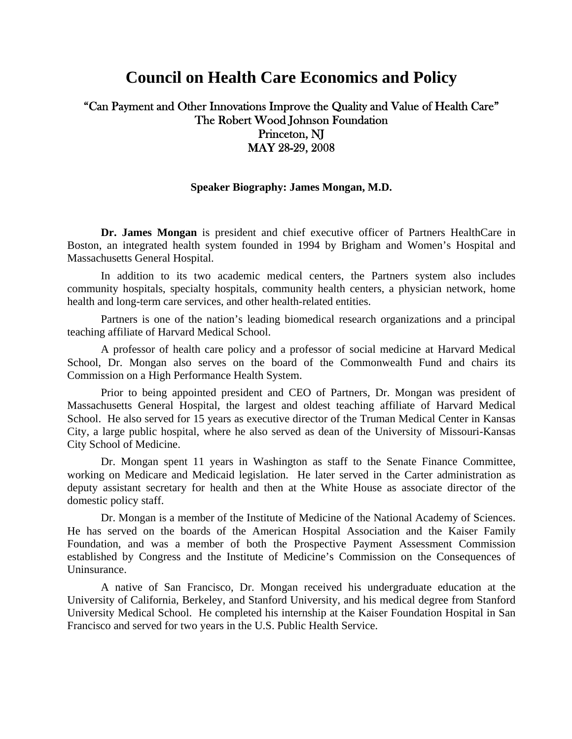### "Can Payment and Other Innovations Improve the Quality and Value of Health Care" The Robert Wood Johnson Foundation Princeton, NJ MAY 28-29, 2008

#### **Speaker Biography: James Mongan, M.D.**

**Dr. James Mongan** is president and chief executive officer of Partners HealthCare in Boston, an integrated health system founded in 1994 by Brigham and Women's Hospital and Massachusetts General Hospital.

In addition to its two academic medical centers, the Partners system also includes community hospitals, specialty hospitals, community health centers, a physician network, home health and long-term care services, and other health-related entities.

Partners is one of the nation's leading biomedical research organizations and a principal teaching affiliate of Harvard Medical School.

A professor of health care policy and a professor of social medicine at Harvard Medical School, Dr. Mongan also serves on the board of the Commonwealth Fund and chairs its Commission on a High Performance Health System.

Prior to being appointed president and CEO of Partners, Dr. Mongan was president of Massachusetts General Hospital, the largest and oldest teaching affiliate of Harvard Medical School. He also served for 15 years as executive director of the Truman Medical Center in Kansas City, a large public hospital, where he also served as dean of the University of Missouri-Kansas City School of Medicine.

Dr. Mongan spent 11 years in Washington as staff to the Senate Finance Committee, working on Medicare and Medicaid legislation. He later served in the Carter administration as deputy assistant secretary for health and then at the White House as associate director of the domestic policy staff.

Dr. Mongan is a member of the Institute of Medicine of the National Academy of Sciences. He has served on the boards of the American Hospital Association and the Kaiser Family Foundation, and was a member of both the Prospective Payment Assessment Commission established by Congress and the Institute of Medicine's Commission on the Consequences of Uninsurance.

A native of San Francisco, Dr. Mongan received his undergraduate education at the University of California, Berkeley, and Stanford University, and his medical degree from Stanford University Medical School. He completed his internship at the Kaiser Foundation Hospital in San Francisco and served for two years in the U.S. Public Health Service.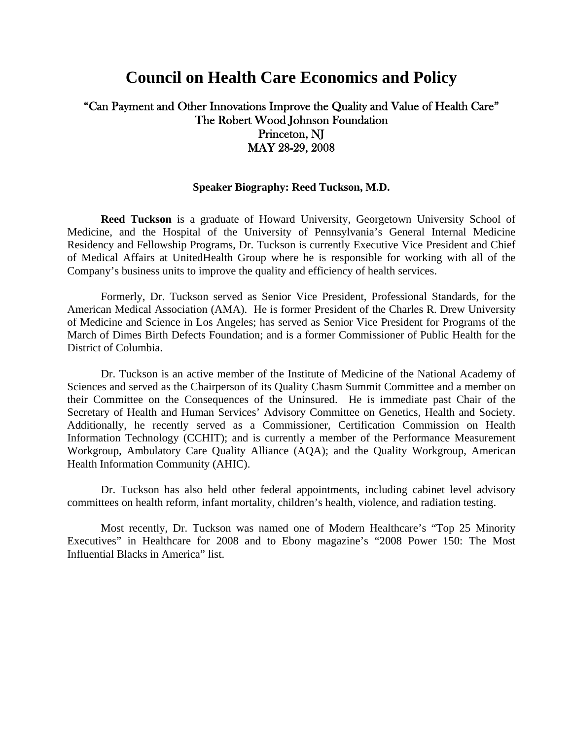### "Can Payment and Other Innovations Improve the Quality and Value of Health Care" The Robert Wood Johnson Foundation Princeton, NJ MAY 28-29, 2008

#### **Speaker Biography: Reed Tuckson, M.D.**

**Reed Tuckson** is a graduate of Howard University, Georgetown University School of Medicine, and the Hospital of the University of Pennsylvania's General Internal Medicine Residency and Fellowship Programs, Dr. Tuckson is currently Executive Vice President and Chief of Medical Affairs at UnitedHealth Group where he is responsible for working with all of the Company's business units to improve the quality and efficiency of health services.

Formerly, Dr. Tuckson served as Senior Vice President, Professional Standards, for the American Medical Association (AMA). He is former President of the Charles R. Drew University of Medicine and Science in Los Angeles; has served as Senior Vice President for Programs of the March of Dimes Birth Defects Foundation; and is a former Commissioner of Public Health for the District of Columbia.

Dr. Tuckson is an active member of the Institute of Medicine of the National Academy of Sciences and served as the Chairperson of its Quality Chasm Summit Committee and a member on their Committee on the Consequences of the Uninsured. He is immediate past Chair of the Secretary of Health and Human Services' Advisory Committee on Genetics, Health and Society. Additionally, he recently served as a Commissioner, Certification Commission on Health Information Technology (CCHIT); and is currently a member of the Performance Measurement Workgroup, Ambulatory Care Quality Alliance (AQA); and the Quality Workgroup, American Health Information Community (AHIC).

Dr. Tuckson has also held other federal appointments, including cabinet level advisory committees on health reform, infant mortality, children's health, violence, and radiation testing.

Most recently, Dr. Tuckson was named one of Modern Healthcare's "Top 25 Minority Executives" in Healthcare for 2008 and to Ebony magazine's "2008 Power 150: The Most Influential Blacks in America" list.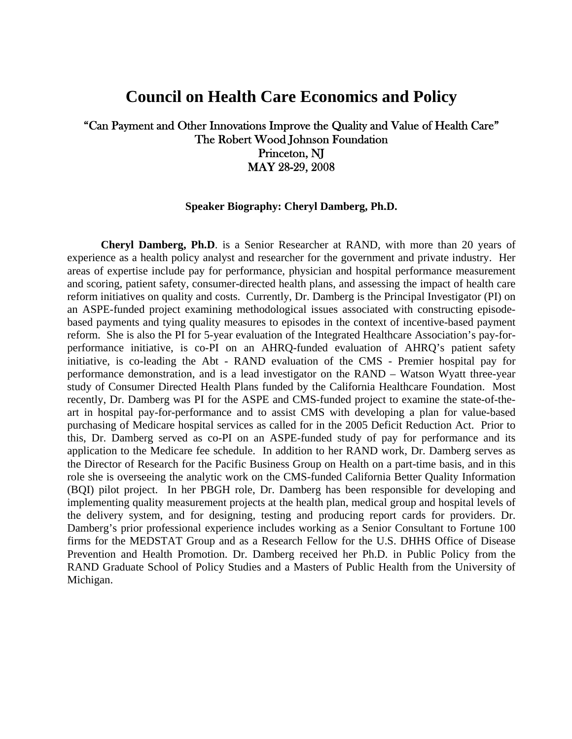"Can Payment and Other Innovations Improve the Quality and Value of Health Care" The Robert Wood Johnson Foundation Princeton, NJ MAY 28-29, 2008

#### **Speaker Biography: Cheryl Damberg, Ph.D.**

**Cheryl Damberg, Ph.D**. is a Senior Researcher at RAND, with more than 20 years of experience as a health policy analyst and researcher for the government and private industry. Her areas of expertise include pay for performance, physician and hospital performance measurement and scoring, patient safety, consumer-directed health plans, and assessing the impact of health care reform initiatives on quality and costs. Currently, Dr. Damberg is the Principal Investigator (PI) on an ASPE-funded project examining methodological issues associated with constructing episodebased payments and tying quality measures to episodes in the context of incentive-based payment reform. She is also the PI for 5-year evaluation of the Integrated Healthcare Association's pay-forperformance initiative, is co-PI on an AHRQ-funded evaluation of AHRQ's patient safety initiative, is co-leading the Abt - RAND evaluation of the CMS - Premier hospital pay for performance demonstration, and is a lead investigator on the RAND – Watson Wyatt three-year study of Consumer Directed Health Plans funded by the California Healthcare Foundation. Most recently, Dr. Damberg was PI for the ASPE and CMS-funded project to examine the state-of-theart in hospital pay-for-performance and to assist CMS with developing a plan for value-based purchasing of Medicare hospital services as called for in the 2005 Deficit Reduction Act. Prior to this, Dr. Damberg served as co-PI on an ASPE-funded study of pay for performance and its application to the Medicare fee schedule. In addition to her RAND work, Dr. Damberg serves as the Director of Research for the Pacific Business Group on Health on a part-time basis, and in this role she is overseeing the analytic work on the CMS-funded California Better Quality Information (BQI) pilot project. In her PBGH role, Dr. Damberg has been responsible for developing and implementing quality measurement projects at the health plan, medical group and hospital levels of the delivery system, and for designing, testing and producing report cards for providers. Dr. Damberg's prior professional experience includes working as a Senior Consultant to Fortune 100 firms for the MEDSTAT Group and as a Research Fellow for the U.S. DHHS Office of Disease Prevention and Health Promotion. Dr. Damberg received her Ph.D. in Public Policy from the RAND Graduate School of Policy Studies and a Masters of Public Health from the University of Michigan.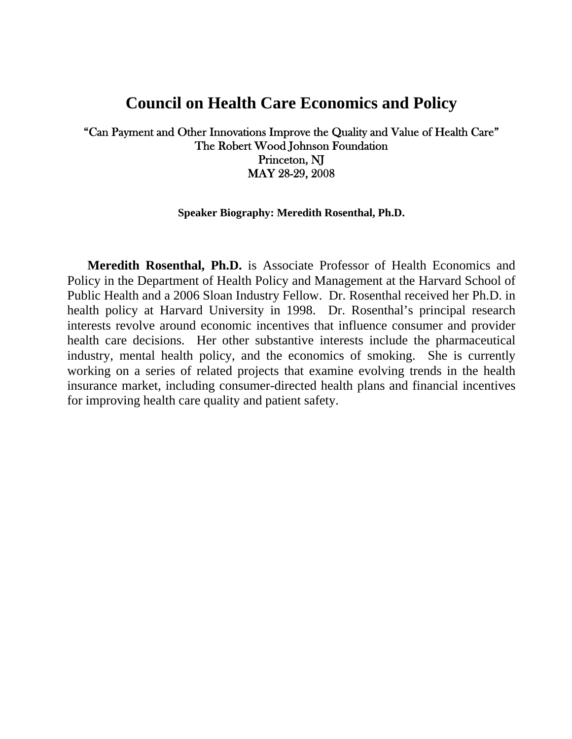"Can Payment and Other Innovations Improve the Quality and Value of Health Care" The Robert Wood Johnson Foundation Princeton, NJ MAY 28-29, 2008

#### **Speaker Biography: Meredith Rosenthal, Ph.D.**

**Meredith Rosenthal, Ph.D.** is Associate Professor of Health Economics and Policy in the Department of Health Policy and Management at the Harvard School of Public Health and a 2006 Sloan Industry Fellow. Dr. Rosenthal received her Ph.D. in health policy at Harvard University in 1998. Dr. Rosenthal's principal research interests revolve around economic incentives that influence consumer and provider health care decisions. Her other substantive interests include the pharmaceutical industry, mental health policy, and the economics of smoking. She is currently working on a series of related projects that examine evolving trends in the health insurance market, including consumer-directed health plans and financial incentives for improving health care quality and patient safety.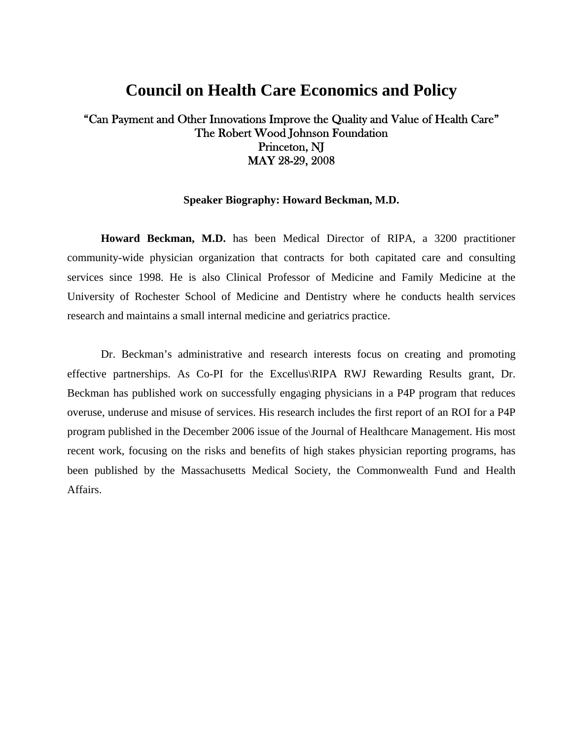## "Can Payment and Other Innovations Improve the Quality and Value of Health Care" The Robert Wood Johnson Foundation Princeton, NJ MAY 28-29, 2008

#### **Speaker Biography: Howard Beckman, M.D.**

**Howard Beckman, M.D.** has been Medical Director of RIPA, a 3200 practitioner community-wide physician organization that contracts for both capitated care and consulting services since 1998. He is also Clinical Professor of Medicine and Family Medicine at the University of Rochester School of Medicine and Dentistry where he conducts health services research and maintains a small internal medicine and geriatrics practice.

Dr. Beckman's administrative and research interests focus on creating and promoting effective partnerships. As Co-PI for the Excellus\RIPA RWJ Rewarding Results grant, Dr. Beckman has published work on successfully engaging physicians in a P4P program that reduces overuse, underuse and misuse of services. His research includes the first report of an ROI for a P4P program published in the December 2006 issue of the Journal of Healthcare Management. His most recent work, focusing on the risks and benefits of high stakes physician reporting programs, has been published by the Massachusetts Medical Society, the Commonwealth Fund and Health Affairs.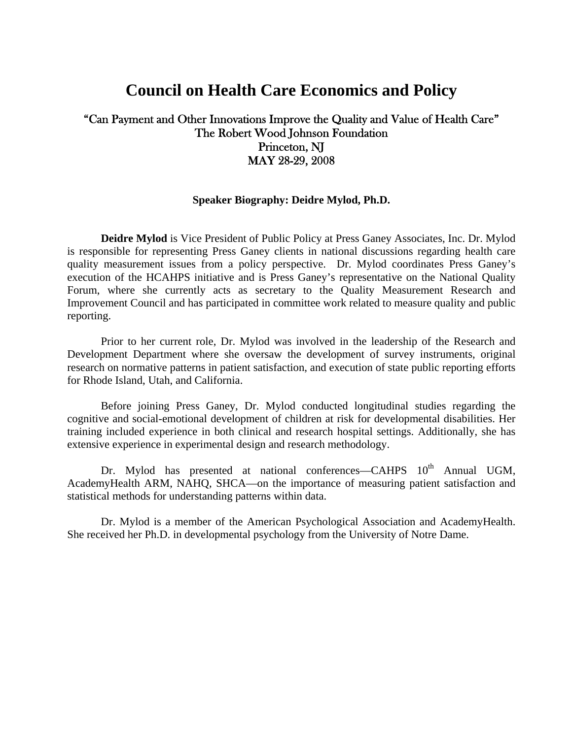## "Can Payment and Other Innovations Improve the Quality and Value of Health Care" The Robert Wood Johnson Foundation Princeton, NJ MAY 28-29, 2008

#### **Speaker Biography: Deidre Mylod, Ph.D.**

**Deidre Mylod** is Vice President of Public Policy at Press Ganey Associates, Inc. Dr. Mylod is responsible for representing Press Ganey clients in national discussions regarding health care quality measurement issues from a policy perspective. Dr. Mylod coordinates Press Ganey's execution of the HCAHPS initiative and is Press Ganey's representative on the National Quality Forum, where she currently acts as secretary to the Quality Measurement Research and Improvement Council and has participated in committee work related to measure quality and public reporting.

Prior to her current role, Dr. Mylod was involved in the leadership of the Research and Development Department where she oversaw the development of survey instruments, original research on normative patterns in patient satisfaction, and execution of state public reporting efforts for Rhode Island, Utah, and California.

Before joining Press Ganey, Dr. Mylod conducted longitudinal studies regarding the cognitive and social-emotional development of children at risk for developmental disabilities. Her training included experience in both clinical and research hospital settings. Additionally, she has extensive experience in experimental design and research methodology.

Dr. Mylod has presented at national conferences—CAHPS  $10<sup>th</sup>$  Annual UGM. AcademyHealth ARM, NAHQ, SHCA—on the importance of measuring patient satisfaction and statistical methods for understanding patterns within data.

Dr. Mylod is a member of the American Psychological Association and AcademyHealth. She received her Ph.D. in developmental psychology from the University of Notre Dame.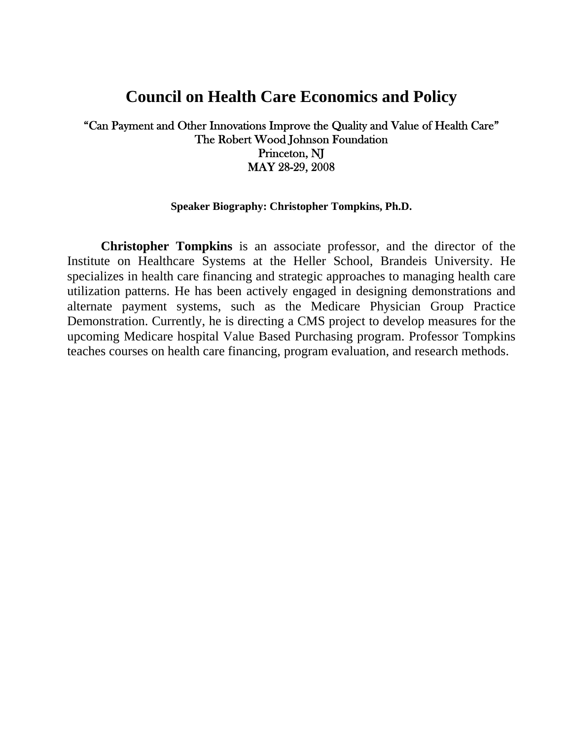"Can Payment and Other Innovations Improve the Quality and Value of Health Care" The Robert Wood Johnson Foundation Princeton, NJ MAY 28-29, 2008

#### **Speaker Biography: Christopher Tompkins, Ph.D.**

**Christopher Tompkins** is an associate professor, and the director of the Institute on Healthcare Systems at the Heller School, Brandeis University. He specializes in health care financing and strategic approaches to managing health care utilization patterns. He has been actively engaged in designing demonstrations and alternate payment systems, such as the Medicare Physician Group Practice Demonstration. Currently, he is directing a CMS project to develop measures for the upcoming Medicare hospital Value Based Purchasing program. Professor Tompkins teaches courses on health care financing, program evaluation, and research methods.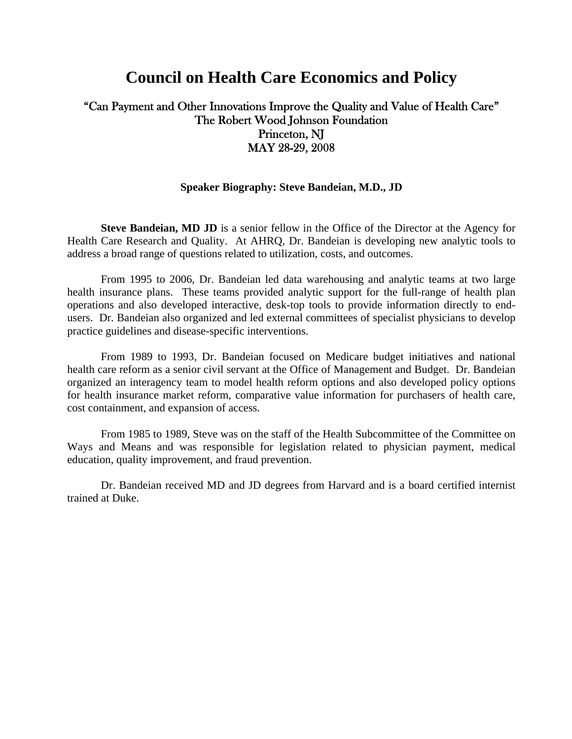## "Can Payment and Other Innovations Improve the Quality and Value of Health Care" The Robert Wood Johnson Foundation Princeton, NJ MAY 28-29, 2008

#### **Speaker Biography: Steve Bandeian, M.D., JD**

**Steve Bandeian, MD JD** is a senior fellow in the Office of the Director at the Agency for Health Care Research and Quality. At AHRQ, Dr. Bandeian is developing new analytic tools to address a broad range of questions related to utilization, costs, and outcomes.

From 1995 to 2006, Dr. Bandeian led data warehousing and analytic teams at two large health insurance plans. These teams provided analytic support for the full-range of health plan operations and also developed interactive, desk-top tools to provide information directly to endusers. Dr. Bandeian also organized and led external committees of specialist physicians to develop practice guidelines and disease-specific interventions.

From 1989 to 1993, Dr. Bandeian focused on Medicare budget initiatives and national health care reform as a senior civil servant at the Office of Management and Budget. Dr. Bandeian organized an interagency team to model health reform options and also developed policy options for health insurance market reform, comparative value information for purchasers of health care, cost containment, and expansion of access.

From 1985 to 1989, Steve was on the staff of the Health Subcommittee of the Committee on Ways and Means and was responsible for legislation related to physician payment, medical education, quality improvement, and fraud prevention.

Dr. Bandeian received MD and JD degrees from Harvard and is a board certified internist trained at Duke.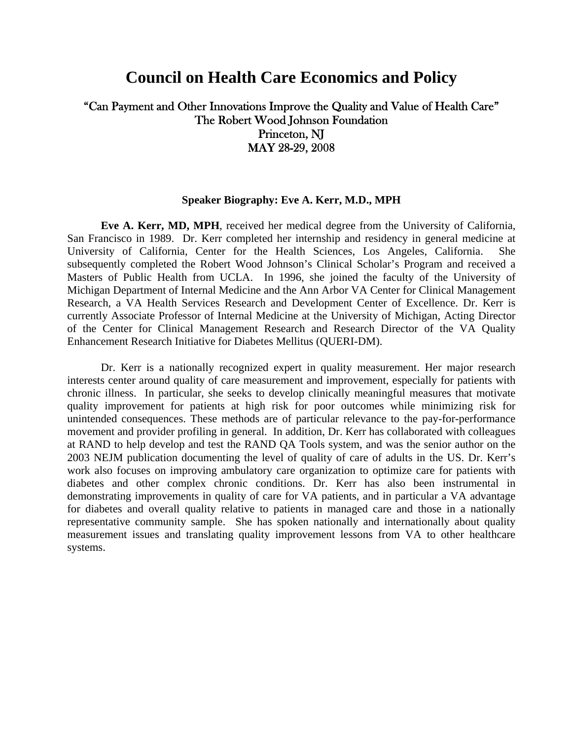## "Can Payment and Other Innovations Improve the Quality and Value of Health Care" The Robert Wood Johnson Foundation Princeton, NJ MAY 28-29, 2008

#### **Speaker Biography: Eve A. Kerr, M.D., MPH**

**Eve A. Kerr, MD, MPH**, received her medical degree from the University of California, San Francisco in 1989. Dr. Kerr completed her internship and residency in general medicine at University of California, Center for the Health Sciences, Los Angeles, California. She subsequently completed the Robert Wood Johnson's Clinical Scholar's Program and received a Masters of Public Health from UCLA. In 1996, she joined the faculty of the University of Michigan Department of Internal Medicine and the Ann Arbor VA Center for Clinical Management Research, a VA Health Services Research and Development Center of Excellence. Dr. Kerr is currently Associate Professor of Internal Medicine at the University of Michigan, Acting Director of the Center for Clinical Management Research and Research Director of the VA Quality Enhancement Research Initiative for Diabetes Mellitus (QUERI-DM).

Dr. Kerr is a nationally recognized expert in quality measurement. Her major research interests center around quality of care measurement and improvement, especially for patients with chronic illness. In particular, she seeks to develop clinically meaningful measures that motivate quality improvement for patients at high risk for poor outcomes while minimizing risk for unintended consequences. These methods are of particular relevance to the pay-for-performance movement and provider profiling in general. In addition, Dr. Kerr has collaborated with colleagues at RAND to help develop and test the RAND QA Tools system, and was the senior author on the 2003 NEJM publication documenting the level of quality of care of adults in the US. Dr. Kerr's work also focuses on improving ambulatory care organization to optimize care for patients with diabetes and other complex chronic conditions. Dr. Kerr has also been instrumental in demonstrating improvements in quality of care for VA patients, and in particular a VA advantage for diabetes and overall quality relative to patients in managed care and those in a nationally representative community sample. She has spoken nationally and internationally about quality measurement issues and translating quality improvement lessons from VA to other healthcare systems.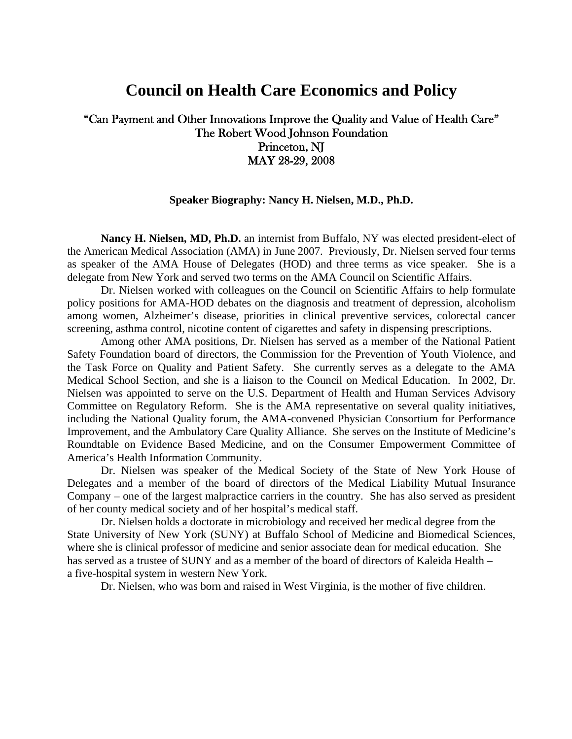## "Can Payment and Other Innovations Improve the Quality and Value of Health Care" The Robert Wood Johnson Foundation Princeton, NJ MAY 28-29, 2008

#### **Speaker Biography: Nancy H. Nielsen, M.D., Ph.D.**

**Nancy H. Nielsen, MD, Ph.D.** an internist from Buffalo, NY was elected president-elect of the American Medical Association (AMA) in June 2007. Previously, Dr. Nielsen served four terms as speaker of the AMA House of Delegates (HOD) and three terms as vice speaker. She is a delegate from New York and served two terms on the AMA Council on Scientific Affairs.

 Dr. Nielsen worked with colleagues on the Council on Scientific Affairs to help formulate policy positions for AMA-HOD debates on the diagnosis and treatment of depression, alcoholism among women, Alzheimer's disease, priorities in clinical preventive services, colorectal cancer screening, asthma control, nicotine content of cigarettes and safety in dispensing prescriptions.

 Among other AMA positions, Dr. Nielsen has served as a member of the National Patient Safety Foundation board of directors, the Commission for the Prevention of Youth Violence, and the Task Force on Quality and Patient Safety. She currently serves as a delegate to the AMA Medical School Section, and she is a liaison to the Council on Medical Education. In 2002, Dr. Nielsen was appointed to serve on the U.S. Department of Health and Human Services Advisory Committee on Regulatory Reform. She is the AMA representative on several quality initiatives, including the National Quality forum, the AMA-convened Physician Consortium for Performance Improvement, and the Ambulatory Care Quality Alliance. She serves on the Institute of Medicine's Roundtable on Evidence Based Medicine, and on the Consumer Empowerment Committee of America's Health Information Community.

 Dr. Nielsen was speaker of the Medical Society of the State of New York House of Delegates and a member of the board of directors of the Medical Liability Mutual Insurance Company – one of the largest malpractice carriers in the country. She has also served as president of her county medical society and of her hospital's medical staff.

 Dr. Nielsen holds a doctorate in microbiology and received her medical degree from the State University of New York (SUNY) at Buffalo School of Medicine and Biomedical Sciences, where she is clinical professor of medicine and senior associate dean for medical education. She has served as a trustee of SUNY and as a member of the board of directors of Kaleida Health – a five-hospital system in western New York.

Dr. Nielsen, who was born and raised in West Virginia, is the mother of five children.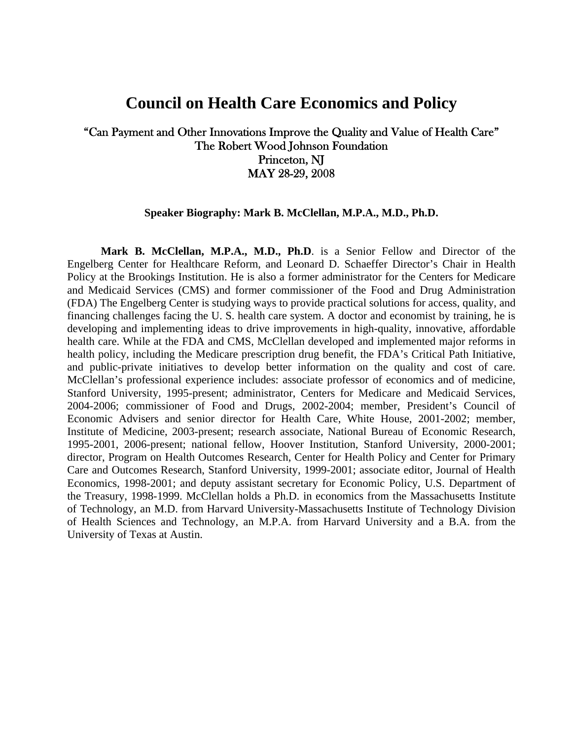"Can Payment and Other Innovations Improve the Quality and Value of Health Care" The Robert Wood Johnson Foundation Princeton, NJ MAY 28-29, 2008

#### **Speaker Biography: Mark B. McClellan, M.P.A., M.D., Ph.D.**

**Mark B. McClellan, M.P.A., M.D., Ph.D**. is a Senior Fellow and Director of the Engelberg Center for Healthcare Reform, and Leonard D. Schaeffer Director's Chair in Health Policy at the Brookings Institution. He is also a former administrator for the Centers for Medicare and Medicaid Services (CMS) and former commissioner of the Food and Drug Administration (FDA) The Engelberg Center is studying ways to provide practical solutions for access, quality, and financing challenges facing the U. S. health care system. A doctor and economist by training, he is developing and implementing ideas to drive improvements in high-quality, innovative, affordable health care. While at the FDA and CMS, McClellan developed and implemented major reforms in health policy, including the Medicare prescription drug benefit, the FDA's Critical Path Initiative, and public-private initiatives to develop better information on the quality and cost of care. McClellan's professional experience includes: associate professor of economics and of medicine, Stanford University, 1995-present; administrator, Centers for Medicare and Medicaid Services, 2004-2006; commissioner of Food and Drugs, 2002-2004; member, President's Council of Economic Advisers and senior director for Health Care, White House, 2001-2002; member, Institute of Medicine, 2003-present; research associate, National Bureau of Economic Research, 1995-2001, 2006-present; national fellow, Hoover Institution, Stanford University, 2000-2001; director, Program on Health Outcomes Research, Center for Health Policy and Center for Primary Care and Outcomes Research, Stanford University, 1999-2001; associate editor, Journal of Health Economics, 1998-2001; and deputy assistant secretary for Economic Policy, U.S. Department of the Treasury, 1998-1999. McClellan holds a Ph.D. in economics from the Massachusetts Institute of Technology, an M.D. from Harvard University-Massachusetts Institute of Technology Division of Health Sciences and Technology, an M.P.A. from Harvard University and a B.A. from the University of Texas at Austin.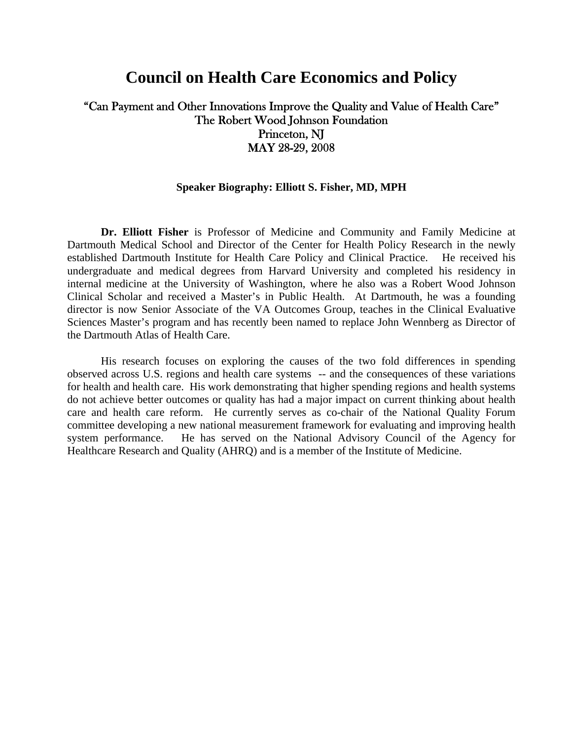## "Can Payment and Other Innovations Improve the Quality and Value of Health Care" The Robert Wood Johnson Foundation Princeton, NJ MAY 28-29, 2008

#### **Speaker Biography: Elliott S. Fisher, MD, MPH**

**Dr. Elliott Fisher** is Professor of Medicine and Community and Family Medicine at Dartmouth Medical School and Director of the Center for Health Policy Research in the newly established Dartmouth Institute for Health Care Policy and Clinical Practice. He received his undergraduate and medical degrees from Harvard University and completed his residency in internal medicine at the University of Washington, where he also was a Robert Wood Johnson Clinical Scholar and received a Master's in Public Health. At Dartmouth, he was a founding director is now Senior Associate of the VA Outcomes Group, teaches in the Clinical Evaluative Sciences Master's program and has recently been named to replace John Wennberg as Director of the Dartmouth Atlas of Health Care.

His research focuses on exploring the causes of the two fold differences in spending observed across U.S. regions and health care systems -- and the consequences of these variations for health and health care. His work demonstrating that higher spending regions and health systems do not achieve better outcomes or quality has had a major impact on current thinking about health care and health care reform. He currently serves as co-chair of the National Quality Forum committee developing a new national measurement framework for evaluating and improving health system performance. He has served on the National Advisory Council of the Agency for Healthcare Research and Quality (AHRQ) and is a member of the Institute of Medicine.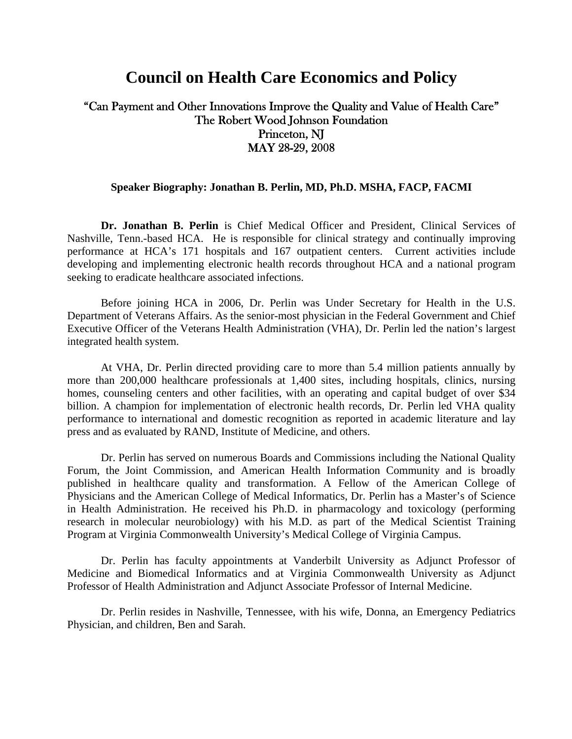## "Can Payment and Other Innovations Improve the Quality and Value of Health Care" The Robert Wood Johnson Foundation Princeton, NJ MAY 28-29, 2008

#### **Speaker Biography: Jonathan B. Perlin, MD, Ph.D. MSHA, FACP, FACMI**

**Dr. Jonathan B. Perlin** is Chief Medical Officer and President, Clinical Services of Nashville, Tenn.-based HCA. He is responsible for clinical strategy and continually improving performance at HCA's 171 hospitals and 167 outpatient centers. Current activities include developing and implementing electronic health records throughout HCA and a national program seeking to eradicate healthcare associated infections.

Before joining HCA in 2006, Dr. Perlin was Under Secretary for Health in the U.S. Department of Veterans Affairs. As the senior-most physician in the Federal Government and Chief Executive Officer of the Veterans Health Administration (VHA), Dr. Perlin led the nation's largest integrated health system.

At VHA, Dr. Perlin directed providing care to more than 5.4 million patients annually by more than 200,000 healthcare professionals at 1,400 sites, including hospitals, clinics, nursing homes, counseling centers and other facilities, with an operating and capital budget of over \$34 billion. A champion for implementation of electronic health records, Dr. Perlin led VHA quality performance to international and domestic recognition as reported in academic literature and lay press and as evaluated by RAND, Institute of Medicine, and others.

Dr. Perlin has served on numerous Boards and Commissions including the National Quality Forum, the Joint Commission, and American Health Information Community and is broadly published in healthcare quality and transformation. A Fellow of the American College of Physicians and the American College of Medical Informatics, Dr. Perlin has a Master's of Science in Health Administration. He received his Ph.D. in pharmacology and toxicology (performing research in molecular neurobiology) with his M.D. as part of the Medical Scientist Training Program at Virginia Commonwealth University's Medical College of Virginia Campus.

Dr. Perlin has faculty appointments at Vanderbilt University as Adjunct Professor of Medicine and Biomedical Informatics and at Virginia Commonwealth University as Adjunct Professor of Health Administration and Adjunct Associate Professor of Internal Medicine.

Dr. Perlin resides in Nashville, Tennessee, with his wife, Donna, an Emergency Pediatrics Physician, and children, Ben and Sarah.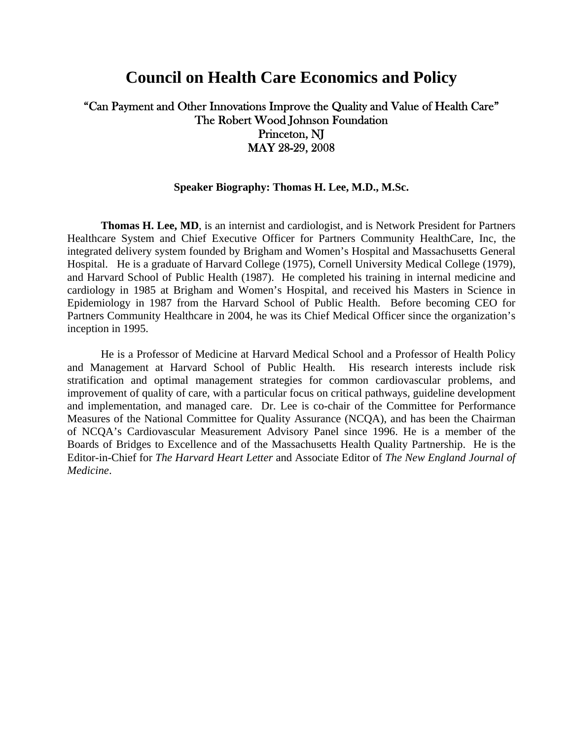## "Can Payment and Other Innovations Improve the Quality and Value of Health Care" The Robert Wood Johnson Foundation Princeton, NJ MAY 28-29, 2008

#### **Speaker Biography: Thomas H. Lee, M.D., M.Sc.**

**Thomas H. Lee, MD**, is an internist and cardiologist, and is Network President for Partners Healthcare System and Chief Executive Officer for Partners Community HealthCare, Inc, the integrated delivery system founded by Brigham and Women's Hospital and Massachusetts General Hospital. He is a graduate of Harvard College (1975), Cornell University Medical College (1979), and Harvard School of Public Health (1987). He completed his training in internal medicine and cardiology in 1985 at Brigham and Women's Hospital, and received his Masters in Science in Epidemiology in 1987 from the Harvard School of Public Health. Before becoming CEO for Partners Community Healthcare in 2004, he was its Chief Medical Officer since the organization's inception in 1995.

He is a Professor of Medicine at Harvard Medical School and a Professor of Health Policy and Management at Harvard School of Public Health. His research interests include risk stratification and optimal management strategies for common cardiovascular problems, and improvement of quality of care, with a particular focus on critical pathways, guideline development and implementation, and managed care. Dr. Lee is co-chair of the Committee for Performance Measures of the National Committee for Quality Assurance (NCQA), and has been the Chairman of NCQA's Cardiovascular Measurement Advisory Panel since 1996. He is a member of the Boards of Bridges to Excellence and of the Massachusetts Health Quality Partnership. He is the Editor-in-Chief for *The Harvard Heart Letter* and Associate Editor of *The New England Journal of Medicine*.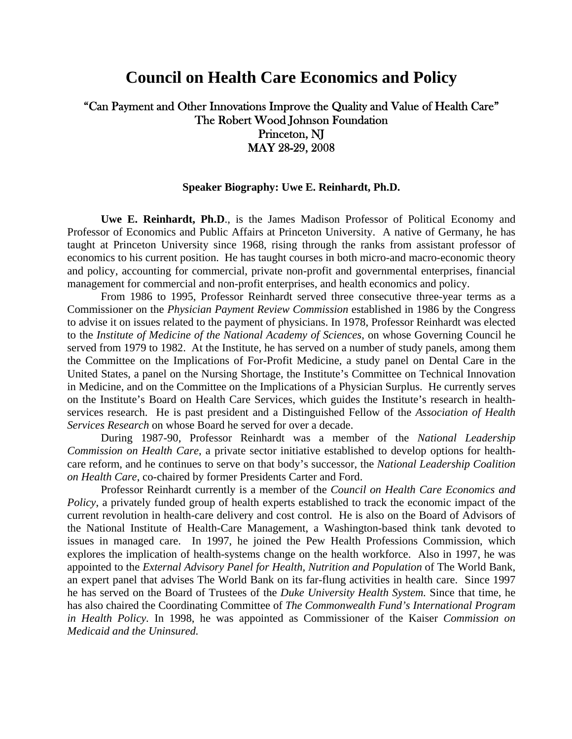### "Can Payment and Other Innovations Improve the Quality and Value of Health Care" The Robert Wood Johnson Foundation Princeton, NJ MAY 28-29, 2008

#### **Speaker Biography: Uwe E. Reinhardt, Ph.D.**

**Uwe E. Reinhardt, Ph.D**., is the James Madison Professor of Political Economy and Professor of Economics and Public Affairs at Princeton University. A native of Germany, he has taught at Princeton University since 1968, rising through the ranks from assistant professor of economics to his current position. He has taught courses in both micro-and macro-economic theory and policy, accounting for commercial, private non-profit and governmental enterprises, financial management for commercial and non-profit enterprises, and health economics and policy.

From 1986 to 1995, Professor Reinhardt served three consecutive three-year terms as a Commissioner on the *Physician Payment Review Commission* established in 1986 by the Congress to advise it on issues related to the payment of physicians. In 1978, Professor Reinhardt was elected to the *Institute of Medicine of the National Academy of Sciences*, on whose Governing Council he served from 1979 to 1982. At the Institute, he has served on a number of study panels, among them the Committee on the Implications of For-Profit Medicine, a study panel on Dental Care in the United States, a panel on the Nursing Shortage, the Institute's Committee on Technical Innovation in Medicine, and on the Committee on the Implications of a Physician Surplus. He currently serves on the Institute's Board on Health Care Services, which guides the Institute's research in healthservices research. He is past president and a Distinguished Fellow of the *Association of Health Services Research* on whose Board he served for over a decade.

During 1987-90, Professor Reinhardt was a member of the *National Leadership Commission on Health Care*, a private sector initiative established to develop options for healthcare reform, and he continues to serve on that body's successor, the *National Leadership Coalition on Health Care*, co-chaired by former Presidents Carter and Ford.

Professor Reinhardt currently is a member of the *Council on Health Care Economics and Policy*, a privately funded group of health experts established to track the economic impact of the current revolution in health-care delivery and cost control. He is also on the Board of Advisors of the National Institute of Health-Care Management, a Washington-based think tank devoted to issues in managed care. In 1997, he joined the Pew Health Professions Commission, which explores the implication of health-systems change on the health workforce. Also in 1997, he was appointed to the *External Advisory Panel for Health, Nutrition and Population* of The World Bank, an expert panel that advises The World Bank on its far-flung activities in health care. Since 1997 he has served on the Board of Trustees of the *Duke University Health System.* Since that time, he has also chaired the Coordinating Committee of *The Commonwealth Fund's International Program in Health Policy.* In 1998, he was appointed as Commissioner of the Kaiser *Commission on Medicaid and the Uninsured.*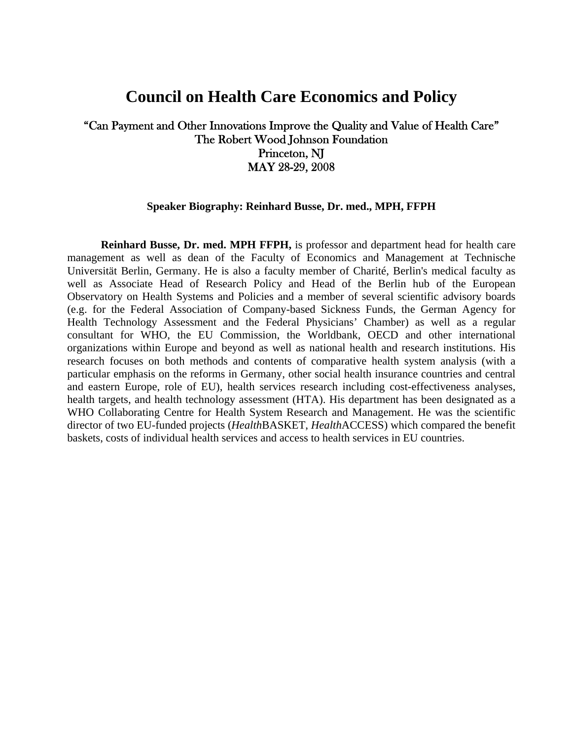## "Can Payment and Other Innovations Improve the Quality and Value of Health Care" The Robert Wood Johnson Foundation Princeton, NJ MAY 28-29, 2008

#### **Speaker Biography: Reinhard Busse, Dr. med., MPH, FFPH**

**Reinhard Busse, Dr. med. MPH FFPH,** is professor and department head for health care management as well as dean of the Faculty of Economics and Management at Technische Universität Berlin, Germany. He is also a faculty member of Charité, Berlin's medical faculty as well as Associate Head of Research Policy and Head of the Berlin hub of the European Observatory on Health Systems and Policies and a member of several scientific advisory boards (e.g. for the Federal Association of Company-based Sickness Funds, the German Agency for Health Technology Assessment and the Federal Physicians' Chamber) as well as a regular consultant for WHO, the EU Commission, the Worldbank, OECD and other international organizations within Europe and beyond as well as national health and research institutions. His research focuses on both methods and contents of comparative health system analysis (with a particular emphasis on the reforms in Germany, other social health insurance countries and central and eastern Europe, role of EU), health services research including cost-effectiveness analyses, health targets, and health technology assessment (HTA). His department has been designated as a WHO Collaborating Centre for Health System Research and Management. He was the scientific director of two EU-funded projects (*Health*BASKET, *Health*ACCESS) which compared the benefit baskets, costs of individual health services and access to health services in EU countries.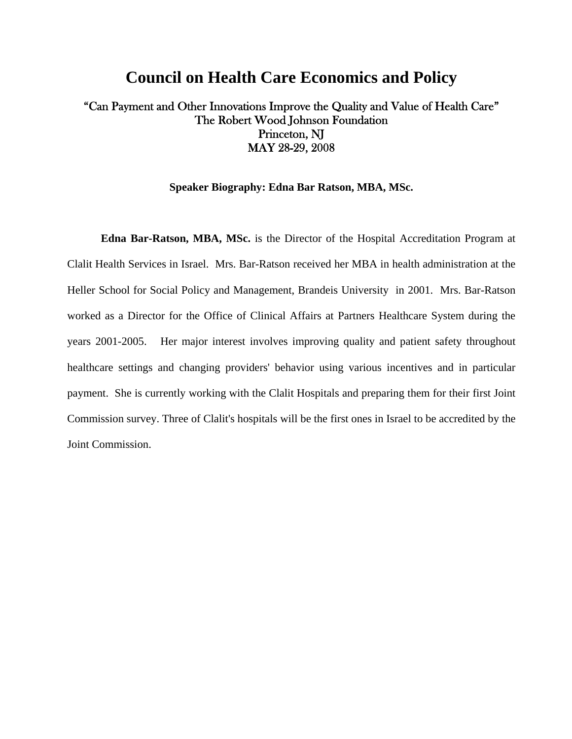## "Can Payment and Other Innovations Improve the Quality and Value of Health Care" The Robert Wood Johnson Foundation Princeton, NJ MAY 28-29, 2008

#### **Speaker Biography: Edna Bar Ratson, MBA, MSc.**

**Edna Bar-Ratson, MBA, MSc.** is the Director of the Hospital Accreditation Program at Clalit Health Services in Israel. Mrs. Bar-Ratson received her MBA in health administration at the Heller School for Social Policy and Management, Brandeis University in 2001. Mrs. Bar-Ratson worked as a Director for the Office of Clinical Affairs at Partners Healthcare System during the years 2001-2005. Her major interest involves improving quality and patient safety throughout healthcare settings and changing providers' behavior using various incentives and in particular payment. She is currently working with the Clalit Hospitals and preparing them for their first Joint Commission survey. Three of Clalit's hospitals will be the first ones in Israel to be accredited by the Joint Commission.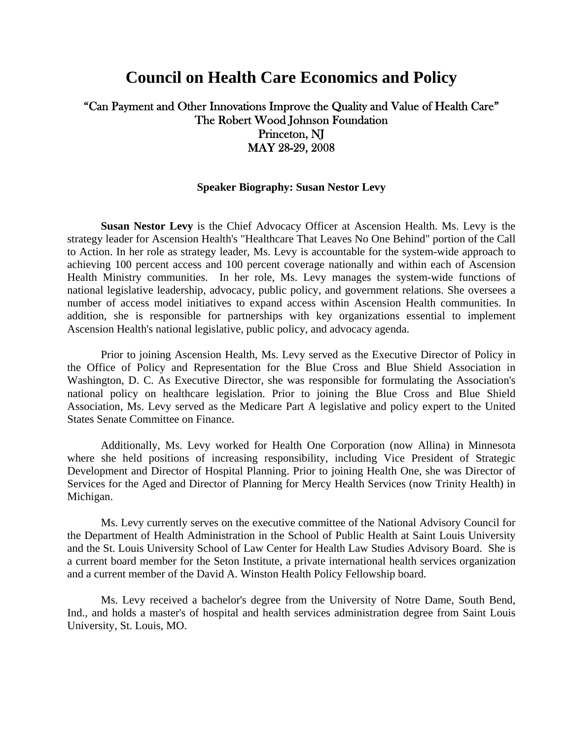### "Can Payment and Other Innovations Improve the Quality and Value of Health Care" The Robert Wood Johnson Foundation Princeton, NJ MAY 28-29, 2008

#### **Speaker Biography: Susan Nestor Levy**

**Susan Nestor Levy** is the Chief Advocacy Officer at Ascension Health. Ms. Levy is the strategy leader for Ascension Health's "Healthcare That Leaves No One Behind" portion of the Call to Action. In her role as strategy leader, Ms. Levy is accountable for the system-wide approach to achieving 100 percent access and 100 percent coverage nationally and within each of Ascension Health Ministry communities. In her role, Ms. Levy manages the system-wide functions of national legislative leadership, advocacy, public policy, and government relations. She oversees a number of access model initiatives to expand access within Ascension Health communities. In addition, she is responsible for partnerships with key organizations essential to implement Ascension Health's national legislative, public policy, and advocacy agenda.

Prior to joining Ascension Health, Ms. Levy served as the Executive Director of Policy in the Office of Policy and Representation for the Blue Cross and Blue Shield Association in Washington, D. C. As Executive Director, she was responsible for formulating the Association's national policy on healthcare legislation. Prior to joining the Blue Cross and Blue Shield Association, Ms. Levy served as the Medicare Part A legislative and policy expert to the United States Senate Committee on Finance.

Additionally, Ms. Levy worked for Health One Corporation (now Allina) in Minnesota where she held positions of increasing responsibility, including Vice President of Strategic Development and Director of Hospital Planning. Prior to joining Health One, she was Director of Services for the Aged and Director of Planning for Mercy Health Services (now Trinity Health) in Michigan.

Ms. Levy currently serves on the executive committee of the National Advisory Council for the Department of Health Administration in the School of Public Health at Saint Louis University and the St. Louis University School of Law Center for Health Law Studies Advisory Board. She is a current board member for the Seton Institute, a private international health services organization and a current member of the David A. Winston Health Policy Fellowship board.

Ms. Levy received a bachelor's degree from the University of Notre Dame, South Bend, Ind., and holds a master's of hospital and health services administration degree from Saint Louis University, St. Louis, MO.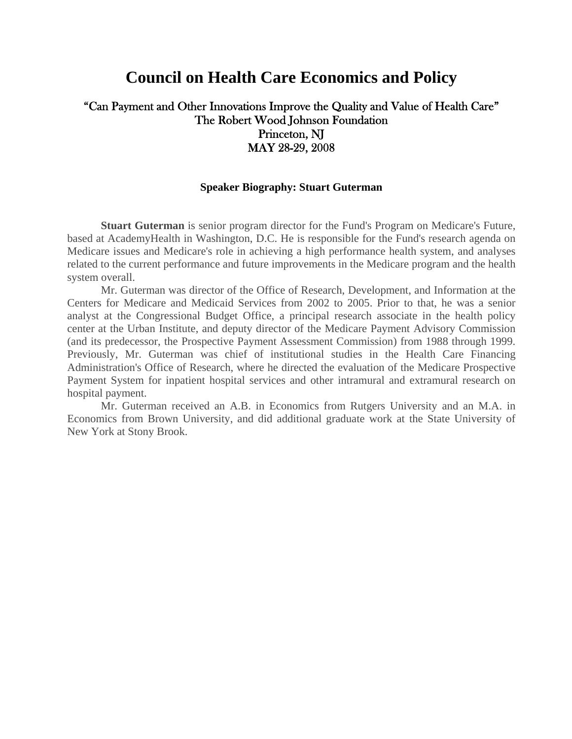## "Can Payment and Other Innovations Improve the Quality and Value of Health Care" The Robert Wood Johnson Foundation Princeton, NJ MAY 28-29, 2008

#### **Speaker Biography: Stuart Guterman**

**Stuart Guterman** is senior program director for the Fund's Program on Medicare's Future, based at AcademyHealth in Washington, D.C. He is responsible for the Fund's research agenda on Medicare issues and Medicare's role in achieving a high performance health system, and analyses related to the current performance and future improvements in the Medicare program and the health system overall.

Mr. Guterman was director of the Office of Research, Development, and Information at the Centers for Medicare and Medicaid Services from 2002 to 2005. Prior to that, he was a senior analyst at the Congressional Budget Office, a principal research associate in the health policy center at the Urban Institute, and deputy director of the Medicare Payment Advisory Commission (and its predecessor, the Prospective Payment Assessment Commission) from 1988 through 1999. Previously, Mr. Guterman was chief of institutional studies in the Health Care Financing Administration's Office of Research, where he directed the evaluation of the Medicare Prospective Payment System for inpatient hospital services and other intramural and extramural research on hospital payment.

Mr. Guterman received an A.B. in Economics from Rutgers University and an M.A. in Economics from Brown University, and did additional graduate work at the State University of New York at Stony Brook.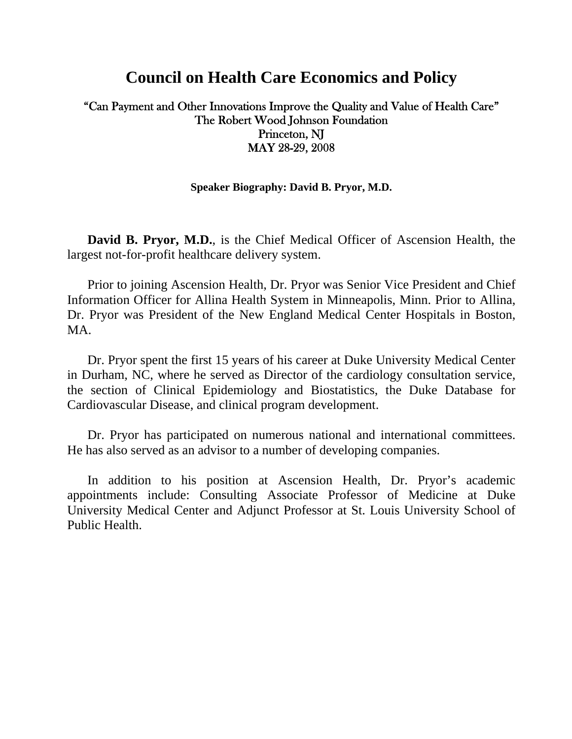## "Can Payment and Other Innovations Improve the Quality and Value of Health Care" The Robert Wood Johnson Foundation Princeton, NJ MAY 28-29, 2008

#### **Speaker Biography: David B. Pryor, M.D.**

**David B. Pryor, M.D.**, is the Chief Medical Officer of Ascension Health, the largest not-for-profit healthcare delivery system.

 Prior to joining Ascension Health, Dr. Pryor was Senior Vice President and Chief Information Officer for Allina Health System in Minneapolis, Minn. Prior to Allina, Dr. Pryor was President of the New England Medical Center Hospitals in Boston, MA.

 Dr. Pryor spent the first 15 years of his career at Duke University Medical Center in Durham, NC, where he served as Director of the cardiology consultation service, the section of Clinical Epidemiology and Biostatistics, the Duke Database for Cardiovascular Disease, and clinical program development.

 Dr. Pryor has participated on numerous national and international committees. He has also served as an advisor to a number of developing companies.

 In addition to his position at Ascension Health, Dr. Pryor's academic appointments include: Consulting Associate Professor of Medicine at Duke University Medical Center and Adjunct Professor at St. Louis University School of Public Health.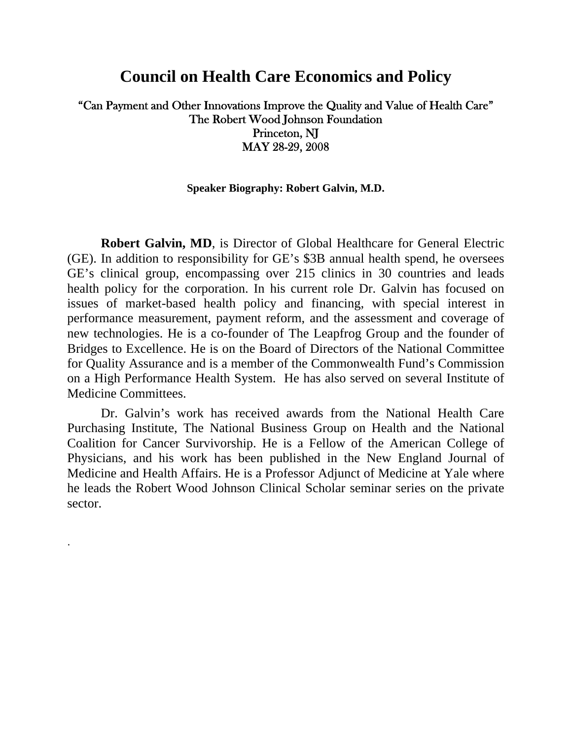## "Can Payment and Other Innovations Improve the Quality and Value of Health Care" The Robert Wood Johnson Foundation Princeton, NJ MAY 28-29, 2008

#### **Speaker Biography: Robert Galvin, M.D.**

**Robert Galvin, MD**, is Director of Global Healthcare for General Electric (GE). In addition to responsibility for GE's \$3B annual health spend, he oversees GE's clinical group, encompassing over 215 clinics in 30 countries and leads health policy for the corporation. In his current role Dr. Galvin has focused on issues of market-based health policy and financing, with special interest in performance measurement, payment reform, and the assessment and coverage of new technologies. He is a co-founder of The Leapfrog Group and the founder of Bridges to Excellence. He is on the Board of Directors of the National Committee for Quality Assurance and is a member of the Commonwealth Fund's Commission on a High Performance Health System. He has also served on several Institute of Medicine Committees.

Dr. Galvin's work has received awards from the National Health Care Purchasing Institute, The National Business Group on Health and the National Coalition for Cancer Survivorship. He is a Fellow of the American College of Physicians, and his work has been published in the New England Journal of Medicine and Health Affairs. He is a Professor Adjunct of Medicine at Yale where he leads the Robert Wood Johnson Clinical Scholar seminar series on the private sector.

.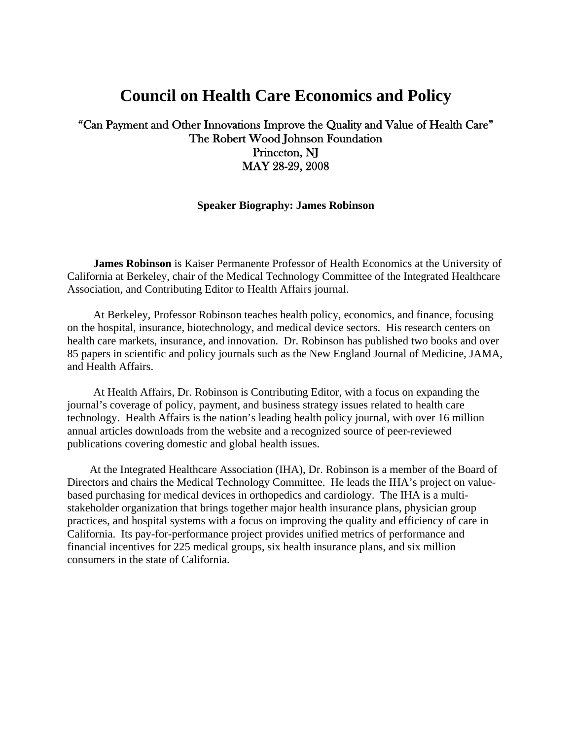## "Can Payment and Other Innovations Improve the Quality and Value of Health Care" The Robert Wood Johnson Foundation Princeton, NJ MAY 28-29, 2008

#### **Speaker Biography: James Robinson**

**James Robinson** is Kaiser Permanente Professor of Health Economics at the University of California at Berkeley, chair of the Medical Technology Committee of the Integrated Healthcare Association, and Contributing Editor to Health Affairs journal.

 At Berkeley, Professor Robinson teaches health policy, economics, and finance, focusing on the hospital, insurance, biotechnology, and medical device sectors. His research centers on health care markets, insurance, and innovation. Dr. Robinson has published two books and over 85 papers in scientific and policy journals such as the New England Journal of Medicine, JAMA, and Health Affairs.

 At Health Affairs, Dr. Robinson is Contributing Editor, with a focus on expanding the journal's coverage of policy, payment, and business strategy issues related to health care technology. Health Affairs is the nation's leading health policy journal, with over 16 million annual articles downloads from the website and a recognized source of peer-reviewed publications covering domestic and global health issues.

 At the Integrated Healthcare Association (IHA), Dr. Robinson is a member of the Board of Directors and chairs the Medical Technology Committee. He leads the IHA's project on valuebased purchasing for medical devices in orthopedics and cardiology. The IHA is a multistakeholder organization that brings together major health insurance plans, physician group practices, and hospital systems with a focus on improving the quality and efficiency of care in California. Its pay-for-performance project provides unified metrics of performance and financial incentives for 225 medical groups, six health insurance plans, and six million consumers in the state of California.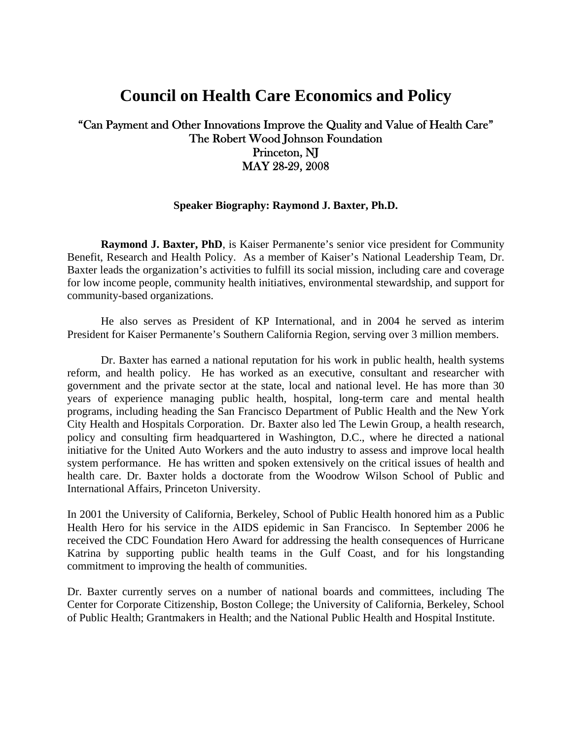## "Can Payment and Other Innovations Improve the Quality and Value of Health Care" The Robert Wood Johnson Foundation Princeton, NJ MAY 28-29, 2008

#### **Speaker Biography: Raymond J. Baxter, Ph.D.**

**Raymond J. Baxter, PhD**, is Kaiser Permanente's senior vice president for Community Benefit, Research and Health Policy. As a member of Kaiser's National Leadership Team, Dr. Baxter leads the organization's activities to fulfill its social mission, including care and coverage for low income people, community health initiatives, environmental stewardship, and support for community-based organizations.

He also serves as President of KP International, and in 2004 he served as interim President for Kaiser Permanente's Southern California Region, serving over 3 million members.

Dr. Baxter has earned a national reputation for his work in public health, health systems reform, and health policy. He has worked as an executive, consultant and researcher with government and the private sector at the state, local and national level. He has more than 30 years of experience managing public health, hospital, long-term care and mental health programs, including heading the San Francisco Department of Public Health and the New York City Health and Hospitals Corporation. Dr. Baxter also led The Lewin Group, a health research, policy and consulting firm headquartered in Washington, D.C., where he directed a national initiative for the United Auto Workers and the auto industry to assess and improve local health system performance. He has written and spoken extensively on the critical issues of health and health care. Dr. Baxter holds a doctorate from the Woodrow Wilson School of Public and International Affairs, Princeton University.

In 2001 the University of California, Berkeley, School of Public Health honored him as a Public Health Hero for his service in the AIDS epidemic in San Francisco. In September 2006 he received the CDC Foundation Hero Award for addressing the health consequences of Hurricane Katrina by supporting public health teams in the Gulf Coast, and for his longstanding commitment to improving the health of communities.

Dr. Baxter currently serves on a number of national boards and committees, including The Center for Corporate Citizenship, Boston College; the University of California, Berkeley, School of Public Health; Grantmakers in Health; and the National Public Health and Hospital Institute.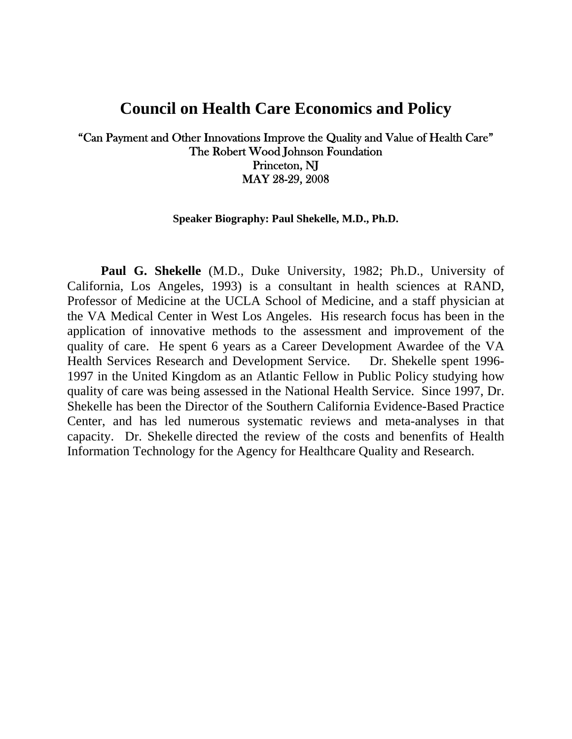"Can Payment and Other Innovations Improve the Quality and Value of Health Care" The Robert Wood Johnson Foundation Princeton, NJ MAY 28-29, 2008

#### **Speaker Biography: Paul Shekelle, M.D., Ph.D.**

**Paul G. Shekelle** (M.D., Duke University, 1982; Ph.D., University of California, Los Angeles, 1993) is a consultant in health sciences at RAND, Professor of Medicine at the UCLA School of Medicine, and a staff physician at the VA Medical Center in West Los Angeles. His research focus has been in the application of innovative methods to the assessment and improvement of the quality of care. He spent 6 years as a Career Development Awardee of the VA Health Services Research and Development Service. Dr. Shekelle spent 1996- 1997 in the United Kingdom as an Atlantic Fellow in Public Policy studying how quality of care was being assessed in the National Health Service. Since 1997, Dr. Shekelle has been the Director of the Southern California Evidence-Based Practice Center, and has led numerous systematic reviews and meta-analyses in that capacity. Dr. Shekelle directed the review of the costs and benenfits of Health Information Technology for the Agency for Healthcare Quality and Research.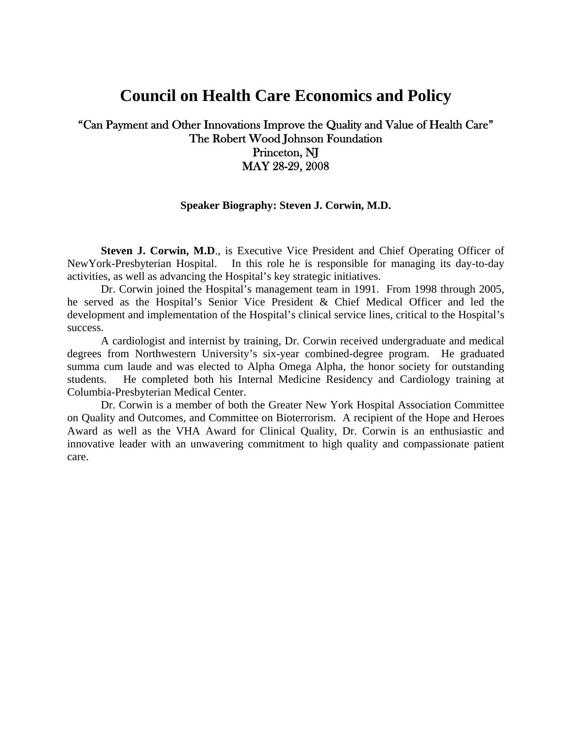## "Can Payment and Other Innovations Improve the Quality and Value of Health Care" The Robert Wood Johnson Foundation Princeton, NJ MAY 28-29, 2008

#### **Speaker Biography: Steven J. Corwin, M.D.**

**Steven J. Corwin, M.D.**, is Executive Vice President and Chief Operating Officer of NewYork-Presbyterian Hospital. In this role he is responsible for managing its day-to-day activities, as well as advancing the Hospital's key strategic initiatives.

Dr. Corwin joined the Hospital's management team in 1991. From 1998 through 2005, he served as the Hospital's Senior Vice President & Chief Medical Officer and led the development and implementation of the Hospital's clinical service lines, critical to the Hospital's success.

A cardiologist and internist by training, Dr. Corwin received undergraduate and medical degrees from Northwestern University's six-year combined-degree program. He graduated summa cum laude and was elected to Alpha Omega Alpha, the honor society for outstanding students. He completed both his Internal Medicine Residency and Cardiology training at Columbia-Presbyterian Medical Center.

Dr. Corwin is a member of both the Greater New York Hospital Association Committee on Quality and Outcomes, and Committee on Bioterrorism. A recipient of the Hope and Heroes Award as well as the VHA Award for Clinical Quality, Dr. Corwin is an enthusiastic and innovative leader with an unwavering commitment to high quality and compassionate patient care.